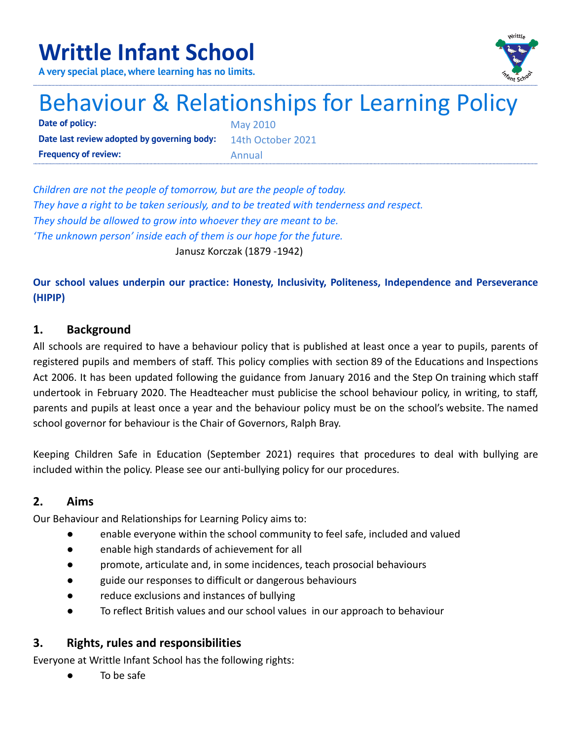# **Writtle Infant School**



**A very special place, where learning has no limits.**

# Behaviour & Relationships for Learning Policy

**Date of policy:** May 2010 **Date last review adopted by governing body:** 14th October 2021 **Frequency of review:** Annual

*Children are not the people of tomorrow, but are the people of today. They have a right to be taken seriously, and to be treated with tenderness and respect. They should be allowed to grow into whoever they are meant to be. 'The unknown person' inside each of them is our hope for the future.* Janusz Korczak (1879 -1942)

**Our school values underpin our practice: Honesty, Inclusivity, Politeness, Independence and Perseverance (HIPIP)**

# **1. Background**

All schools are required to have a behaviour policy that is published at least once a year to pupils, parents of registered pupils and members of staff. This policy complies with section 89 of the Educations and Inspections Act 2006. It has been updated following the guidance from January 2016 and the Step On training which staff undertook in February 2020. The Headteacher must publicise the school behaviour policy, in writing, to staff, parents and pupils at least once a year and the behaviour policy must be on the school's website. The named school governor for behaviour is the Chair of Governors, Ralph Bray.

Keeping Children Safe in Education (September 2021) requires that procedures to deal with bullying are included within the policy. Please see our anti-bullying policy for our procedures.

# **2. Aims**

Our Behaviour and Relationships for Learning Policy aims to:

- enable everyone within the school community to feel safe, included and valued
- enable high standards of achievement for all
- promote, articulate and, in some incidences, teach prosocial behaviours
- guide our responses to difficult or dangerous behaviours
- reduce exclusions and instances of bullying
- To reflect British values and our school values in our approach to behaviour

# **3. Rights, rules and responsibilities**

Everyone at Writtle Infant School has the following rights:

To be safe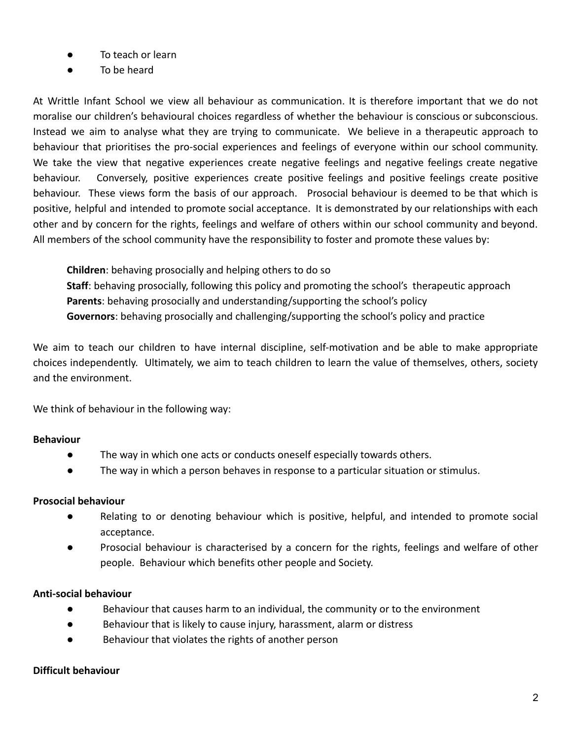- To teach or learn
- To be heard

At Writtle Infant School we view all behaviour as communication. It is therefore important that we do not moralise our children's behavioural choices regardless of whether the behaviour is conscious or subconscious. Instead we aim to analyse what they are trying to communicate. We believe in a therapeutic approach to behaviour that prioritises the pro-social experiences and feelings of everyone within our school community. We take the view that negative experiences create negative feelings and negative feelings create negative behaviour. Conversely, positive experiences create positive feelings and positive feelings create positive behaviour. These views form the basis of our approach. Prosocial behaviour is deemed to be that which is positive, helpful and intended to promote social acceptance. It is demonstrated by our relationships with each other and by concern for the rights, feelings and welfare of others within our school community and beyond. All members of the school community have the responsibility to foster and promote these values by:

**Children**: behaving prosocially and helping others to do so **Staff**: behaving prosocially, following this policy and promoting the school's therapeutic approach **Parents**: behaving prosocially and understanding/supporting the school's policy **Governors**: behaving prosocially and challenging/supporting the school's policy and practice

We aim to teach our children to have internal discipline, self-motivation and be able to make appropriate choices independently. Ultimately, we aim to teach children to learn the value of themselves, others, society and the environment.

We think of behaviour in the following way:

#### **Behaviour**

- The way in which one acts or conducts oneself especially towards others.
- The way in which a person behaves in response to a particular situation or stimulus.

#### **Prosocial behaviour**

- Relating to or denoting behaviour which is positive, helpful, and intended to promote social acceptance.
- Prosocial behaviour is characterised by a concern for the rights, feelings and welfare of other people. Behaviour which benefits other people and Society.

### **Anti-social behaviour**

- Behaviour that causes harm to an individual, the community or to the environment
- Behaviour that is likely to cause injury, harassment, alarm or distress
- Behaviour that violates the rights of another person

#### **Difficult behaviour**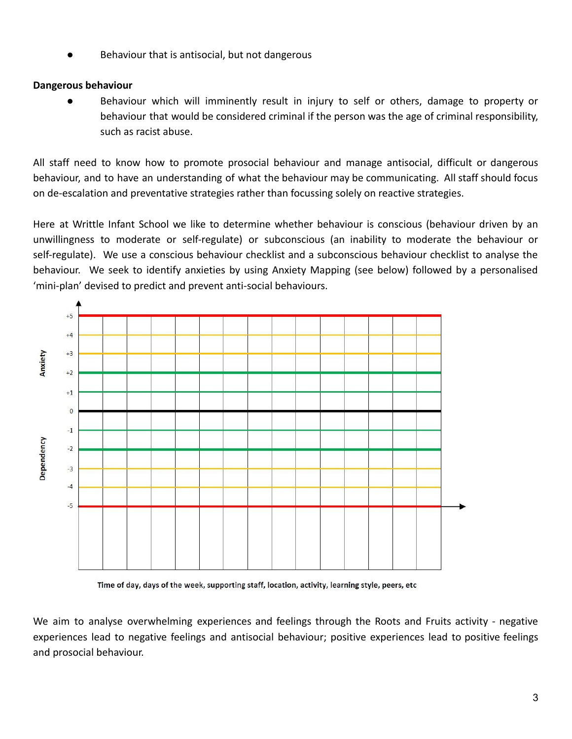Behaviour that is antisocial, but not dangerous

#### **Dangerous behaviour**

● Behaviour which will imminently result in injury to self or others, damage to property or behaviour that would be considered criminal if the person was the age of criminal responsibility, such as racist abuse.

All staff need to know how to promote prosocial behaviour and manage antisocial, difficult or dangerous behaviour, and to have an understanding of what the behaviour may be communicating. All staff should focus on de-escalation and preventative strategies rather than focussing solely on reactive strategies.

Here at Writtle Infant School we like to determine whether behaviour is conscious (behaviour driven by an unwillingness to moderate or self-regulate) or subconscious (an inability to moderate the behaviour or self-regulate). We use a conscious behaviour checklist and a subconscious behaviour checklist to analyse the behaviour. We seek to identify anxieties by using Anxiety Mapping (see below) followed by a personalised 'mini-plan' devised to predict and prevent anti-social behaviours.



Time of day, days of the week, supporting staff, location, activity, learning style, peers, etc

We aim to analyse overwhelming experiences and feelings through the Roots and Fruits activity - negative experiences lead to negative feelings and antisocial behaviour; positive experiences lead to positive feelings and prosocial behaviour.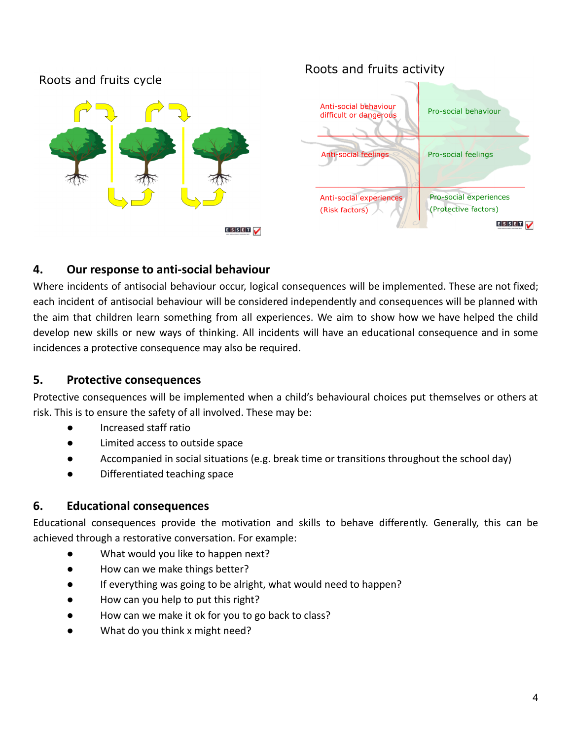# Roots and fruits cycle



# Roots and fruits activity



# **4. Our response to anti-social behaviour**

Where incidents of antisocial behaviour occur, logical consequences will be implemented. These are not fixed; each incident of antisocial behaviour will be considered independently and consequences will be planned with the aim that children learn something from all experiences. We aim to show how we have helped the child develop new skills or new ways of thinking. All incidents will have an educational consequence and in some incidences a protective consequence may also be required.

### **5. Protective consequences**

Protective consequences will be implemented when a child's behavioural choices put themselves or others at risk. This is to ensure the safety of all involved. These may be:

- Increased staff ratio
- Limited access to outside space
- Accompanied in social situations (e.g. break time or transitions throughout the school day)
- Differentiated teaching space

### **6. Educational consequences**

Educational consequences provide the motivation and skills to behave differently. Generally, this can be achieved through a restorative conversation. For example:

- What would you like to happen next?
- How can we make things better?
- If everything was going to be alright, what would need to happen?
- How can you help to put this right?
- How can we make it ok for you to go back to class?
- What do you think x might need?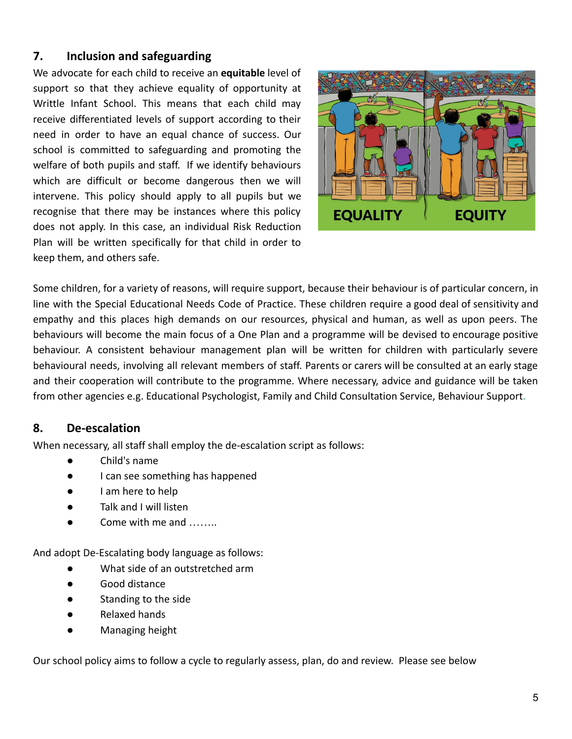# **7. Inclusion and safeguarding**

We advocate for each child to receive an **equitable** level of support so that they achieve equality of opportunity at Writtle Infant School. This means that each child may receive differentiated levels of support according to their need in order to have an equal chance of success. Our school is committed to safeguarding and promoting the welfare of both pupils and staff. If we identify behaviours which are difficult or become dangerous then we will intervene. This policy should apply to all pupils but we recognise that there may be instances where this policy does not apply. In this case, an individual Risk Reduction Plan will be written specifically for that child in order to keep them, and others safe.



Some children, for a variety of reasons, will require support, because their behaviour is of particular concern, in line with the Special Educational Needs Code of Practice. These children require a good deal of sensitivity and empathy and this places high demands on our resources, physical and human, as well as upon peers. The behaviours will become the main focus of a One Plan and a programme will be devised to encourage positive behaviour. A consistent behaviour management plan will be written for children with particularly severe behavioural needs, involving all relevant members of staff. Parents or carers will be consulted at an early stage and their cooperation will contribute to the programme. Where necessary, advice and guidance will be taken from other agencies e.g. Educational Psychologist, Family and Child Consultation Service, Behaviour Support.

### **8. De-escalation**

When necessary, all staff shall employ the de-escalation script as follows:

- Child's name
- I can see something has happened
- I am here to help
- Talk and I will listen
- Come with me and

And adopt De-Escalating body language as follows:

- What side of an outstretched arm
- Good distance
- Standing to the side
- Relaxed hands
- Managing height

Our school policy aims to follow a cycle to regularly assess, plan, do and review. Please see below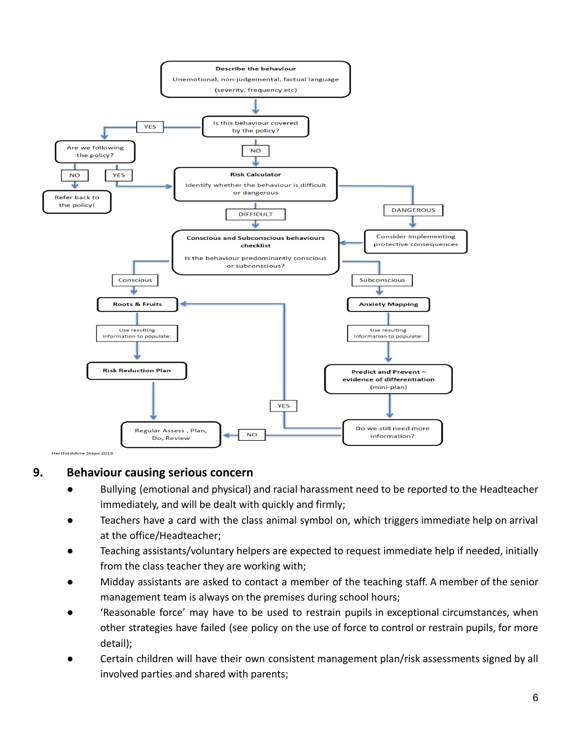

### **9. Behaviour causing serious concern**

- Bullying (emotional and physical) and racial harassment need to be reported to the Headteacher immediately, and will be dealt with quickly and firmly;
- Teachers have a card with the class animal symbol on, which triggers immediate help on arrival at the office/Headteacher;
- Teaching assistants/voluntary helpers are expected to request immediate help if needed, initially from the class teacher they are working with;
- Midday assistants are asked to contact a member of the teaching staff. A member of the senior management team is always on the premises during school hours;
- 'Reasonable force' may have to be used to restrain pupils in exceptional circumstances, when other strategies have failed (see policy on the use of force to control or restrain pupils, for more detail);
- Certain children will have their own consistent management plan/risk assessments signed by all involved parties and shared with parents;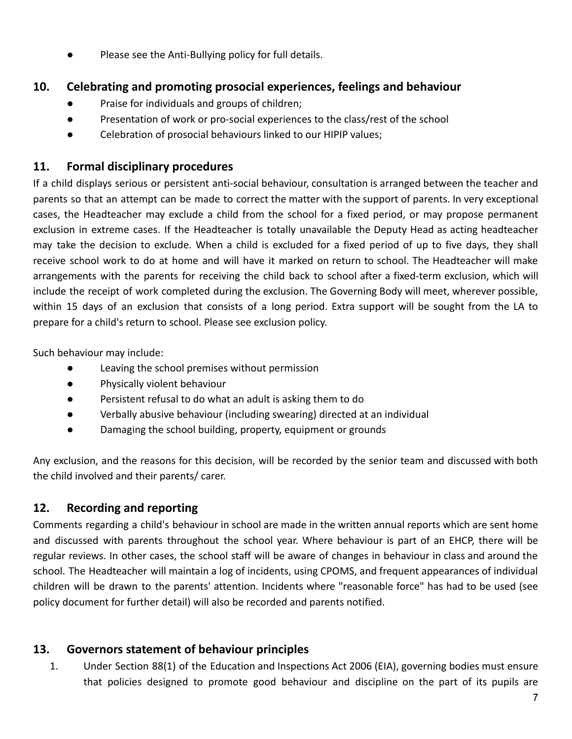Please see the Anti-Bullying policy for full details.

# **10. Celebrating and promoting prosocial experiences, feelings and behaviour**

- Praise for individuals and groups of children;
- Presentation of work or pro-social experiences to the class/rest of the school
- Celebration of prosocial behaviours linked to our HIPIP values;

# **11. Formal disciplinary procedures**

If a child displays serious or persistent anti-social behaviour, consultation is arranged between the teacher and parents so that an attempt can be made to correct the matter with the support of parents. In very exceptional cases, the Headteacher may exclude a child from the school for a fixed period, or may propose permanent exclusion in extreme cases. If the Headteacher is totally unavailable the Deputy Head as acting headteacher may take the decision to exclude. When a child is excluded for a fixed period of up to five days, they shall receive school work to do at home and will have it marked on return to school. The Headteacher will make arrangements with the parents for receiving the child back to school after a fixed-term exclusion, which will include the receipt of work completed during the exclusion. The Governing Body will meet, wherever possible, within 15 days of an exclusion that consists of a long period. Extra support will be sought from the LA to prepare for a child's return to school. Please see exclusion policy.

Such behaviour may include:

- Leaving the school premises without permission
- Physically violent behaviour
- Persistent refusal to do what an adult is asking them to do
- Verbally abusive behaviour (including swearing) directed at an individual
- Damaging the school building, property, equipment or grounds

Any exclusion, and the reasons for this decision, will be recorded by the senior team and discussed with both the child involved and their parents/ carer.

# **12. Recording and reporting**

Comments regarding a child's behaviour in school are made in the written annual reports which are sent home and discussed with parents throughout the school year. Where behaviour is part of an EHCP, there will be regular reviews. In other cases, the school staff will be aware of changes in behaviour in class and around the school. The Headteacher will maintain a log of incidents, using CPOMS, and frequent appearances of individual children will be drawn to the parents' attention. Incidents where "reasonable force" has had to be used (see policy document for further detail) will also be recorded and parents notified.

# **13. Governors statement of behaviour principles**

1. Under Section 88(1) of the Education and Inspections Act 2006 (EIA), governing bodies must ensure that policies designed to promote good behaviour and discipline on the part of its pupils are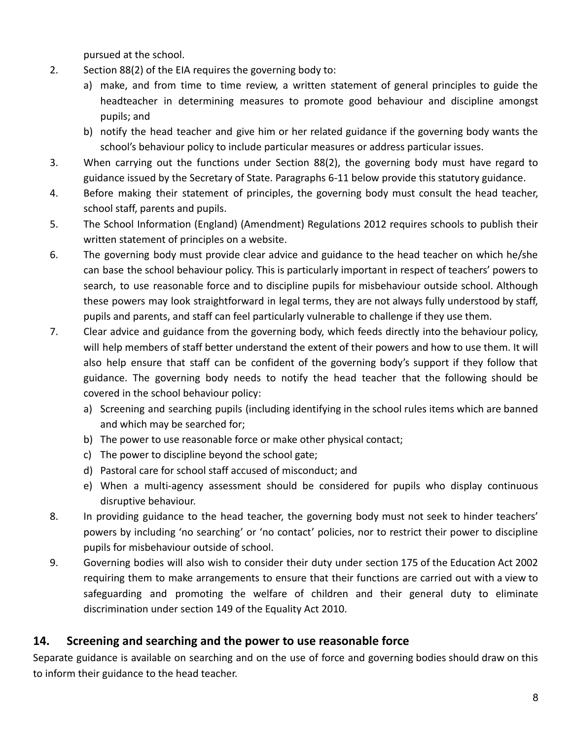pursued at the school.

- 2. Section 88(2) of the EIA requires the governing body to:
	- a) make, and from time to time review, a written statement of general principles to guide the headteacher in determining measures to promote good behaviour and discipline amongst pupils; and
	- b) notify the head teacher and give him or her related guidance if the governing body wants the school's behaviour policy to include particular measures or address particular issues.
- 3. When carrying out the functions under Section 88(2), the governing body must have regard to guidance issued by the Secretary of State. Paragraphs 6-11 below provide this statutory guidance.
- 4. Before making their statement of principles, the governing body must consult the head teacher, school staff, parents and pupils.
- 5. The School Information (England) (Amendment) Regulations 2012 requires schools to publish their written statement of principles on a website.
- 6. The governing body must provide clear advice and guidance to the head teacher on which he/she can base the school behaviour policy. This is particularly important in respect of teachers' powers to search, to use reasonable force and to discipline pupils for misbehaviour outside school. Although these powers may look straightforward in legal terms, they are not always fully understood by staff, pupils and parents, and staff can feel particularly vulnerable to challenge if they use them.
- 7. Clear advice and guidance from the governing body, which feeds directly into the behaviour policy, will help members of staff better understand the extent of their powers and how to use them. It will also help ensure that staff can be confident of the governing body's support if they follow that guidance. The governing body needs to notify the head teacher that the following should be covered in the school behaviour policy:
	- a) Screening and searching pupils (including identifying in the school rules items which are banned and which may be searched for;
	- b) The power to use reasonable force or make other physical contact;
	- c) The power to discipline beyond the school gate;
	- d) Pastoral care for school staff accused of misconduct; and
	- e) When a multi-agency assessment should be considered for pupils who display continuous disruptive behaviour.
- 8. In providing guidance to the head teacher, the governing body must not seek to hinder teachers' powers by including 'no searching' or 'no contact' policies, nor to restrict their power to discipline pupils for misbehaviour outside of school.
- 9. Governing bodies will also wish to consider their duty under section 175 of the Education Act 2002 requiring them to make arrangements to ensure that their functions are carried out with a view to safeguarding and promoting the welfare of children and their general duty to eliminate discrimination under section 149 of the Equality Act 2010.

# **14. Screening and searching and the power to use reasonable force**

Separate guidance is available on searching and on the use of force and governing bodies should draw on this to inform their guidance to the head teacher.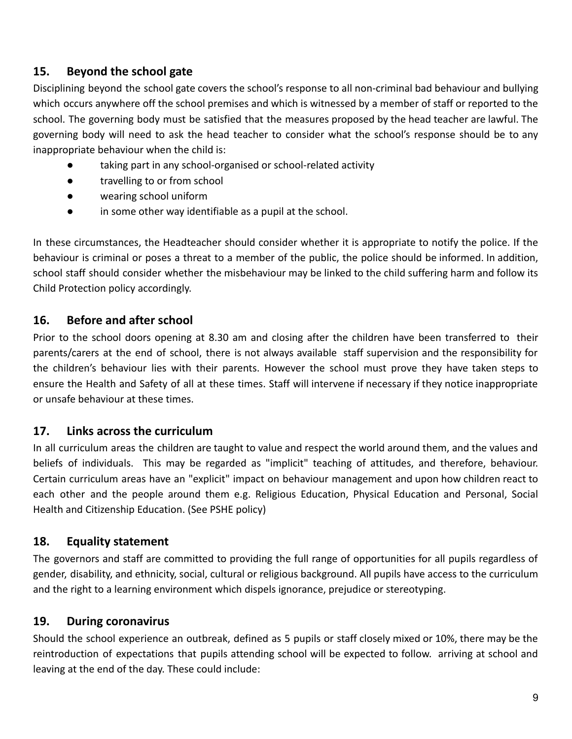# **15. Beyond the school gate**

Disciplining beyond the school gate covers the school's response to all non-criminal bad behaviour and bullying which occurs anywhere off the school premises and which is witnessed by a member of staff or reported to the school. The governing body must be satisfied that the measures proposed by the head teacher are lawful. The governing body will need to ask the head teacher to consider what the school's response should be to any inappropriate behaviour when the child is:

- taking part in any school-organised or school-related activity
- travelling to or from school
- wearing school uniform
- in some other way identifiable as a pupil at the school.

In these circumstances, the Headteacher should consider whether it is appropriate to notify the police. If the behaviour is criminal or poses a threat to a member of the public, the police should be informed. In addition, school staff should consider whether the misbehaviour may be linked to the child suffering harm and follow its Child Protection policy accordingly.

### **16. Before and after school**

Prior to the school doors opening at 8.30 am and closing after the children have been transferred to their parents/carers at the end of school, there is not always available staff supervision and the responsibility for the children's behaviour lies with their parents. However the school must prove they have taken steps to ensure the Health and Safety of all at these times. Staff will intervene if necessary if they notice inappropriate or unsafe behaviour at these times.

### **17. Links across the curriculum**

In all curriculum areas the children are taught to value and respect the world around them, and the values and beliefs of individuals. This may be regarded as "implicit" teaching of attitudes, and therefore, behaviour. Certain curriculum areas have an "explicit" impact on behaviour management and upon how children react to each other and the people around them e.g. Religious Education, Physical Education and Personal, Social Health and Citizenship Education. (See PSHE policy)

### **18. Equality statement**

The governors and staff are committed to providing the full range of opportunities for all pupils regardless of gender, disability, and ethnicity, social, cultural or religious background. All pupils have access to the curriculum and the right to a learning environment which dispels ignorance, prejudice or stereotyping.

# **19. During coronavirus**

Should the school experience an outbreak, defined as 5 pupils or staff closely mixed or 10%, there may be the reintroduction of expectations that pupils attending school will be expected to follow. arriving at school and leaving at the end of the day. These could include: